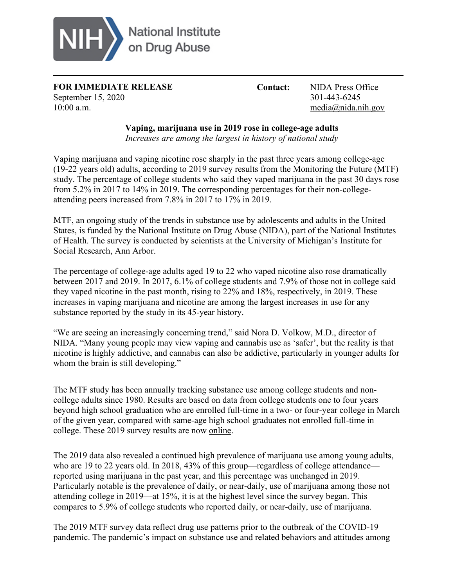

**FOR IMMEDIATE RELEASE**  September 15, 2020 10:00 a.m. [media@nida.nih.gov](mailto:media@nida.nih.gov)

**Contact:** NIDA Press Office 301-443-6245

**Vaping, marijuana use in 2019 rose in college-age adults** 

*Increases are among the largest in history of national study* 

Vaping marijuana and vaping nicotine rose sharply in the past three years among college-age (19-22 years old) adults, according to 2019 survey results from the Monitoring the Future (MTF) study. The percentage of college students who said they vaped marijuana in the past 30 days rose from 5.2% in 2017 to 14% in 2019. The corresponding percentages for their non-collegeattending peers increased from 7.8% in 2017 to 17% in 2019.

MTF, an ongoing study of the trends in substance use by adolescents and adults in the United States, is funded by the National Institute on Drug Abuse (NIDA), part of the National Institutes of Health. The survey is conducted by scientists at the University of Michigan's Institute for Social Research, Ann Arbor.

The percentage of college-age adults aged 19 to 22 who vaped nicotine also rose dramatically between 2017 and 2019. In 2017, 6.1% of college students and 7.9% of those not in college said they vaped nicotine in the past month, rising to 22% and 18%, respectively, in 2019. These increases in vaping marijuana and nicotine are among the largest increases in use for any substance reported by the study in its 45-year history.

"We are seeing an increasingly concerning trend," said Nora D. Volkow, M.D., director of NIDA. "Many young people may view vaping and cannabis use as 'safer', but the reality is that nicotine is highly addictive, and cannabis can also be addictive, particularly in younger adults for whom the brain is still developing."

The MTF study has been annually tracking substance use among college students and noncollege adults since 1980. Results are based on data from college students one to four years beyond high school graduation who are enrolled full-time in a two- or four-year college in March of the given year, compared with same-age high school graduates not enrolled full-time in college. These 2019 survey results are now [online.](http://www.monitoringthefuture.org/pubs/monographs/mtf-vol2_2019.pdf)

The 2019 data also revealed a continued high prevalence of marijuana use among young adults, who are 19 to 22 years old. In 2018, 43% of this group—regardless of college attendance reported using marijuana in the past year, and this percentage was unchanged in 2019. Particularly notable is the prevalence of daily, or near-daily, use of marijuana among those not attending college in 2019—at 15%, it is at the highest level since the survey began. This compares to 5.9% of college students who reported daily, or near-daily, use of marijuana.

The 2019 MTF survey data reflect drug use patterns prior to the outbreak of the COVID-19 pandemic. The pandemic's impact on substance use and related behaviors and attitudes among